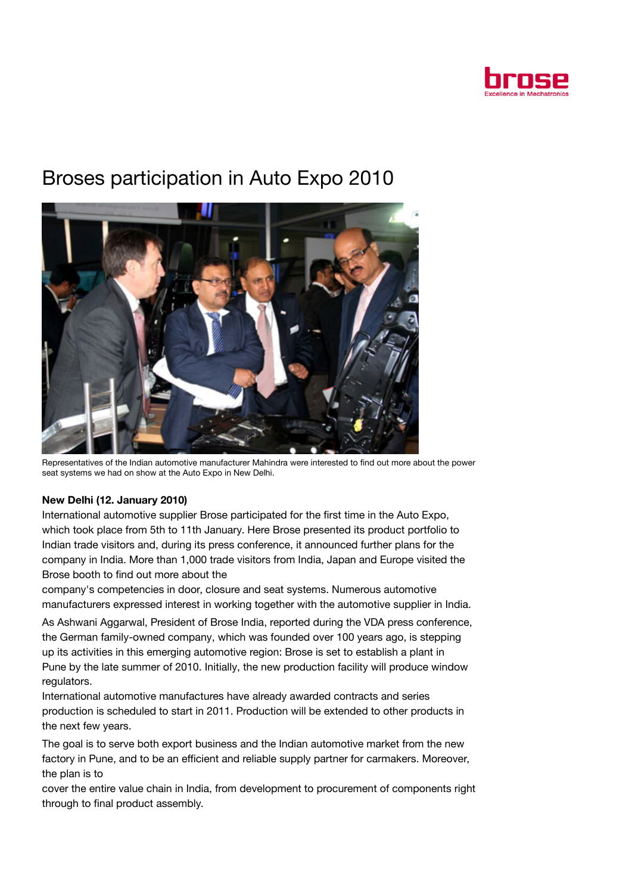

## Broses participation in Auto Expo 2010



Representatives of the Indian automotive manufacturer Mahindra were interested to find out more about the power seat systems we had on show at the Auto Expo in New Delhi.

## New Delhi (12. January 2010)

International automotive supplier Brose participated for the first time in the Auto Expo, which took place from 5th to 11th January. Here Brose presented its product portfolio to Indian trade visitors and, during its press conference, it announced further plans for the company in India. More than 1,000 trade visitors from India, Japan and Europe visited the Brose booth to find out more about the

company's competencies in door, closure and seat systems. Numerous automotive manufacturers expressed interest in working together with the automotive supplier in India.

As Ashwani Aggarwal, President of Brose India, reported during the VDA press conference, the German family-owned company, which was founded over 100 years ago, is stepping up its activities in this emerging automotive region: Brose is set to establish a plant in Pune by the late summer of 2010. Initially, the new production facility will produce window regulators.

International automotive manufactures have already awarded contracts and series production is scheduled to start in 2011. Production will be extended to other products in the next few years.

The goal is to serve both export business and the Indian automotive market from the new factory in Pune, and to be an efficient and reliable supply partner for carmakers. Moreover, the plan is to

cover the entire value chain in India, from development to procurement of components right through to final product assembly.